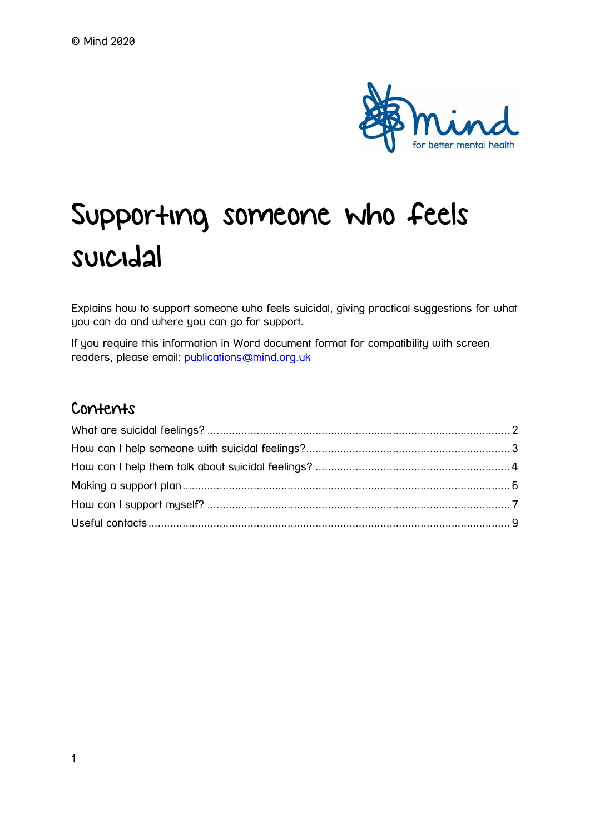

# Supporting someone who feels suicidal

Explains how to support someone who feels suicidal, giving practical suggestions for what you can do and where you can go for support.

If you require this information in Word document format for compatibility with screen readers, please email: [publications@mind.org.uk](mailto:publications@mind.org.uk)

## Contents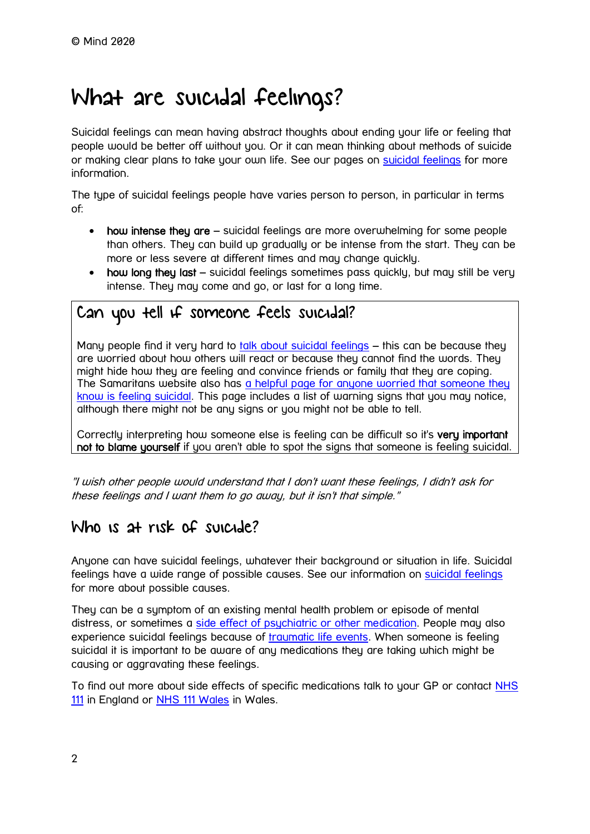## <span id="page-1-0"></span>What are suicidal feelings?

Suicidal feelings can mean having abstract thoughts about ending your life or feeling that people would be better off without you. Or it can mean thinking about methods of suicide or making clear plans to take your own life. See our pages on [suicidal feelings](https://www.mind.org.uk/information-support/types-of-mental-health-problems/suicidal-feelings/) for more information.

The type of suicidal feelings people have varies person to person, in particular in terms of:

- how intense they are suicidal feelings are more overwhelming for some people than others. They can build up gradually or be intense from the start. They can be more or less severe at different times and may change quickly.
- how long they last suicidal feelings sometimes pass quickly, but may still be very intense. They may come and go, or last for a long time.

## Can you tell if someone feels suicidal?

Many people find it very hard to [talk about suicidal feelings](https://www.mind.org.uk/information-support/helping-someone-else/supporting-someone-who-feels-suicidal/talking-about-suicidal-feelings/) – this can be because they are worried about how others will react or because they cannot find the words. They might hide how they are feeling and convince friends or family that they are coping. The Samaritans website also has a helpful page for anyone worried that someone they [know is feeling suicidal.](https://www.samaritans.org/how-we-can-help-you/what-speak-us-about/if-you) This page includes a list of warning signs that you may notice, although there might not be any signs or you might not be able to tell.

Correctly interpreting how someone else is feeling can be difficult so it's very important not to blame yourself if you aren't able to spot the signs that someone is feeling suicidal.

"I wish other people would understand that I don't want these feelings, I didn't ask for these feelings and I want them to go away, but it isn't that simple."

## Who is at risk of suicide?

Anyone can have suicidal feelings, whatever their background or situation in life. Suicidal feelings have a wide range of possible causes. See our information on [suicidal feelings](https://www.mind.org.uk/information-support/types-of-mental-health-problems/suicidal-feelings/) for more about possible causes.

They can be a symptom of an existing mental health problem or episode of mental distress, or sometimes a [side effect of psychiatric or other medication.](https://www.mind.org.uk/information-support/drugs-and-treatments/medication/coping-with-side-effects/) People may also experience suicidal feelings because of [traumatic life events.](https://www.mind.org.uk/information-support/types-of-mental-health-problems/trauma/) When someone is feeling suicidal it is important to be aware of any medications they are taking which might be causing or aggravating these feelings.

To find out more about side effects of specific medications talk to your GP or contact NHS [111](https://www.nhs.uk/using-the-nhs/nhs-services/urgent-and-emergency-care/nhs-111/) in England or [NHS 111 Wales](https://111.wales.nhs.uk/contactus/) in Wales.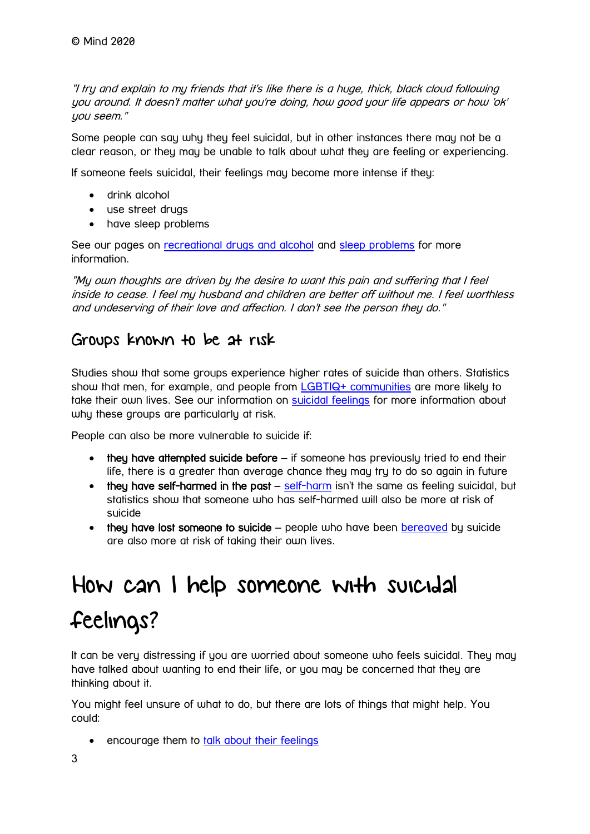"I try and explain to my friends that it's like there is a huge, thick, black cloud following you around. It doesn't matter what you're doing, how good your life appears or how 'ok' you seem."

Some people can say why they feel suicidal, but in other instances there may not be a clear reason, or they may be unable to talk about what they are feeling or experiencing.

If someone feels suicidal, their feelings may become more intense if they:

- drink alcohol
- use street drugs
- have sleep problems

See our pages on [recreational drugs and alcohol](https://www.mind.org.uk/information-support/types-of-mental-health-problems/drugs-recreational-drugs-alcohol/) and [sleep problems](https://www.mind.org.uk/information-support/types-of-mental-health-problems/sleep-problems/) for more information.

"My own thoughts are driven by the desire to want this pain and suffering that I feel inside to cease. I feel my husband and children are better off without me. I feel worthless and undeserving of their love and affection. I don't see the person they do."

## Groups known to be at risk

Studies show that some groups experience higher rates of suicide than others. Statistics show that men, for example, and people from [LGBTIQ+ communities](https://www.mind.org.uk/information-support/tips-for-everyday-living/lgbtiqplus-mental-health/) are more likely to take their own lives. See our information on [suicidal feelings](https://www.mind.org.uk/information-support/types-of-mental-health-problems/suicidal-feelings/causes-of-suicidal-feelings/#WhyAreSomeGroupsMoreAtRiskOfSuicide) for more information about why these groups are particularly at risk.

People can also be more vulnerable to suicide if:

- they have attempted suicide before if someone has previously tried to end their life, there is a greater than average chance they may try to do so again in future
- they have [self-harm](https://www.mind.org.uk/information-support/types-of-mental-health-problems/self-harm/)ed in the past self-harm isn't the same as feeling suicidal, but statistics show that someone who has self-harmed will also be more at risk of suicide
- $\bullet$  they have lost someone to suicide people who have been [bereaved](https://www.mind.org.uk/information-support/guides-to-support-and-services/bereavement/) by suicide are also more at risk of taking their own lives.

# <span id="page-2-0"></span>How can I help someone with suicidal feelings?

It can be very distressing if you are worried about someone who feels suicidal. They may have talked about wanting to end their life, or you may be concerned that they are thinking about it.

You might feel unsure of what to do, but there are lots of things that might help. You could:

• encourage them to [talk about their feelings](https://www.mind.org.uk/information-support/helping-someone-else/supporting-someone-who-feels-suicidal/talking-about-suicidal-feelings/)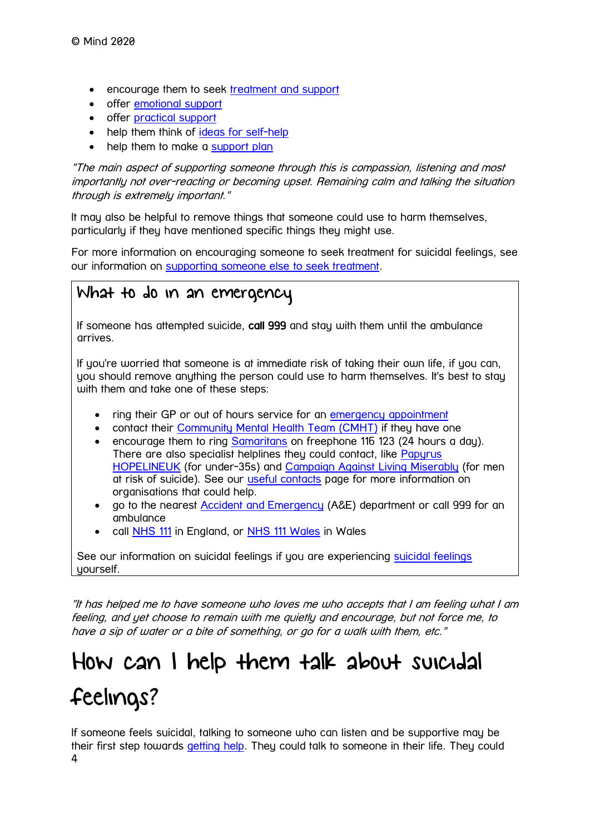- encourage them to seek [treatment and support](https://www.mind.org.uk/information-support/types-of-mental-health-problems/suicidal-feelings/treatment-and-support/)
- offer [emotional support](https://www.mind.org.uk/information-support/guides-to-support-and-services/seeking-help-for-a-mental-health-problem/helping-someone-else-seek-help/#WhatEmotionalSupportCanIOffer)
- offer [practical support](https://www.mind.org.uk/information-support/guides-to-support-and-services/seeking-help-for-a-mental-health-problem/helping-someone-else-seek-help/#WhatPracticalSupportCanIOffer)
- help them think of [ideas for self-help](https://www.mind.org.uk/information-support/types-of-mental-health-problems/suicidal-feelings/helping-yourself-now/)
- help them to make a [support plan](https://www.mind.org.uk/information-support/helping-someone-else/supporting-someone-who-feels-suicidal/making-a-support-plan/)

"The main aspect of supporting someone through this is compassion, listening and most importantly not over-reacting or becoming upset. Remaining calm and talking the situation through is extremely important."

It may also be helpful to remove things that someone could use to harm themselves, particularly if they have mentioned specific things they might use.

For more information on encouraging someone to seek treatment for suicidal feelings, see our information on [supporting someone else to seek treatment.](https://www.mind.org.uk/information-support/guides-to-support-and-services/seeking-help-for-a-mental-health-problem/helping-someone-else-seek-help/)

## What to do in an emergency

If someone has attempted suicide, call 999 and stay with them until the ambulance arrives.

If you're worried that someone is at immediate risk of taking their own life, if you can, you should remove anything the person could use to harm themselves. It's best to stay with them and take one of these steps:

- ring their GP or out of hours service for an [emergency appointment](https://www.mind.org.uk/information-support/guides-to-support-and-services/crisis-services/accident-emergency-ae/)
- contact their [Community Mental Health Team \(CMHT\)](https://www.mind.org.uk/information-support/types-of-mental-health-problems/mental-health-problems-introduction/support-services/#CommunityMentalHealthTeamsCMHTs) if they have one
- encourage them to ring [Samaritans](http://www.samaritans.org/) on freephone 116 123 (24 hours a day). There are also specialist helplines they could contact, like Papurus [HOPELINEUK](https://papyrus-uk.org/hopelineuk/) (for under-35s) and [Campaign Against Living Miserably](https://www.thecalmzone.net/) (for men at risk of suicide). See our *useful contacts* page for more information on organisations that could help.
- go to the nearest [Accident and Emergency](https://www.mind.org.uk/information-support/guides-to-support-and-services/crisis-services/accident-emergency-ae/) (A&E) department or call 999 for an ambulance
- call [NHS 111](https://www.nhs.uk/using-the-nhs/nhs-services/urgent-and-emergency-care/nhs-111/) in England, or [NHS 111 Wales](https://111.wales.nhs.uk/contactus/) in Wales

See our information on [suicidal feelings](https://www.mind.org.uk/information-support/types-of-mental-health-problems/suicidal-feelings/) if you are experiencing suicidal feelings yourself.

"It has helped me to have someone who loves me who accepts that I am feeling what I am feeling, and yet choose to remain with me quietly and encourage, but not force me, to have a sip of water or a bite of something, or go for a walk with them, etc."

# <span id="page-3-0"></span>How can I help them talk about suicidal feelings?

4 If someone feels suicidal, talking to someone who can listen and be supportive may be their first step towards [getting help.](https://www.mind.org.uk/information-support/types-of-mental-health-problems/suicidal-feelings/treatment-and-support/) They could talk to someone in their life. They could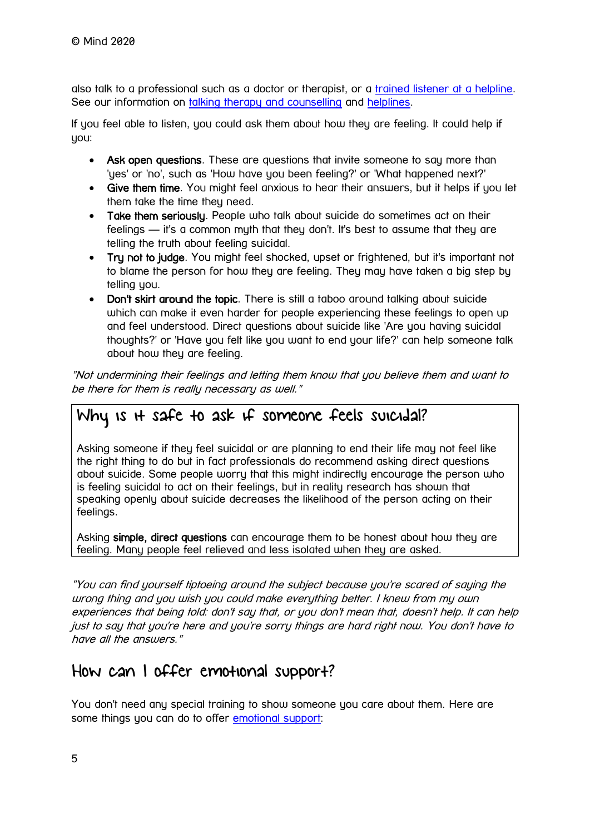also talk to a professional such as a doctor or therapist, or a [trained listener at a helpline.](https://www.mind.org.uk/information-support/guides-to-support-and-services/crisis-services/helplines-listening-services/) See our information on [talking therapy and counselling](https://www.mind.org.uk/information-support/drugs-and-treatments/talking-therapy-and-counselling/) and [helplines.](https://www.mind.org.uk/information-support/guides-to-support-and-services/crisis-services/helplines-listening-services/)

If you feel able to listen, you could ask them about how they are feeling. It could help if you:

- Ask open questions. These are questions that invite someone to say more than 'yes' or 'no', such as 'How have you been feeling?' or 'What happened next?'
- Give them time. You might feel anxious to hear their answers, but it helps if you let them take the time they need.
- Take them seriously. People who talk about suicide do sometimes act on their feelings — it's a common myth that they don't. It's best to assume that they are telling the truth about feeling suicidal.
- Try not to judge. You might feel shocked, upset or frightened, but it's important not to blame the person for how they are feeling. They may have taken a big step by telling you.
- Don't skirt around the topic. There is still a taboo around talking about suicide which can make it even harder for people experiencing these feelings to open up and feel understood. Direct questions about suicide like 'Are you having suicidal thoughts?' or 'Have you felt like you want to end your life?' can help someone talk about how they are feeling.

"Not undermining their feelings and letting them know that you believe them and want to be there for them is really necessary as well."

## Why is it safe to ask if someone feels suicidal?

Asking someone if they feel suicidal or are planning to end their life may not feel like the right thing to do but in fact professionals do recommend asking direct questions about suicide. Some people worry that this might indirectly encourage the person who is feeling suicidal to act on their feelings, but in reality research has shown that speaking openly about suicide decreases the likelihood of the person acting on their feelings.

Asking simple, direct questions can encourage them to be honest about how they are feeling. Many people feel relieved and less isolated when they are asked.

"You can find yourself tiptoeing around the subject because you're scared of saying the wrong thing and you wish you could make everything better. I knew from my own experiences that being told: don't say that, or you don't mean that, doesn't help. It can help just to say that you're here and you're sorry things are hard right now. You don't have to have all the answers."

## How can I offer emotional support?

You don't need any special training to show someone you care about them. Here are some things you can do to offer [emotional support:](https://www.mind.org.uk/information-support/guides-to-support-and-services/seeking-help-for-a-mental-health-problem/helping-someone-else-seek-help/#WhatEmotionalSupportCanIOffer)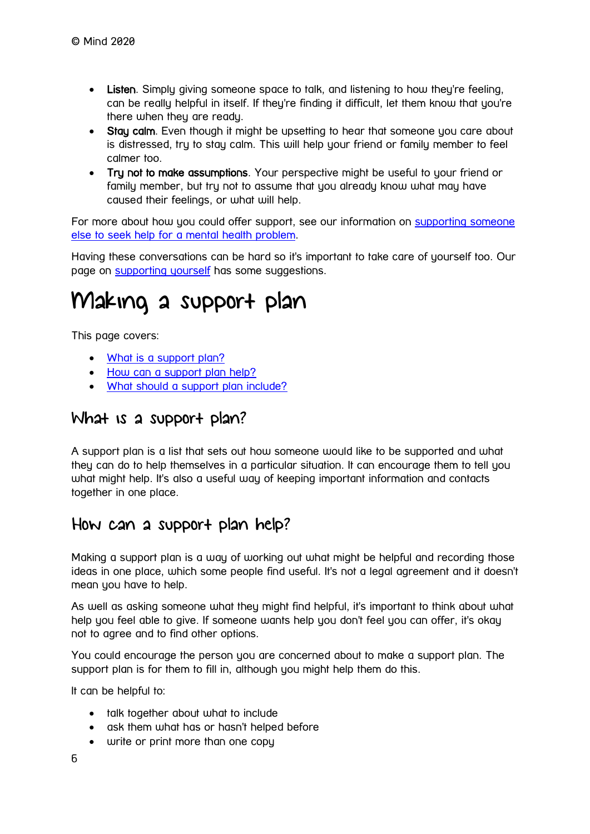- Listen. Simply giving someone space to talk, and listening to how they're feeling, can be really helpful in itself. If they're finding it difficult, let them know that you're there when they are ready.
- Stay calm. Even though it might be upsetting to hear that someone you care about is distressed, try to stay calm. This will help your friend or family member to feel calmer too.
- Tru not to make assumptions. Your perspective might be useful to your friend or family member, but try not to assume that you already know what may have caused their feelings, or what will help.

For more about how you could offer support, see our information on [supporting someone](https://www.mind.org.uk/information-support/guides-to-support-and-services/seeking-help-for-a-mental-health-problem/helping-someone-else-seek-help/)  [else to seek help for a mental health problem.](https://www.mind.org.uk/information-support/guides-to-support-and-services/seeking-help-for-a-mental-health-problem/helping-someone-else-seek-help/)

Having these conversations can be hard so it's important to take care of yourself too. Our page on [supporting yourself](https://www.mind.org.uk/information-support/helping-someone-else/supporting-someone-who-feels-suicidal/supporting-yourself/) has some suggestions.

## <span id="page-5-0"></span>Making a support plan

This page covers:

- [What is a support plan?](https://www.mind.org.uk/information-support/helping-someone-else/supporting-someone-who-feels-suicidal/making-a-support-plan/#WhatIsASupportPlan)
- [How can a support plan help?](https://www.mind.org.uk/information-support/helping-someone-else/supporting-someone-who-feels-suicidal/making-a-support-plan/#HowCanASupportPlanHelp)
- [What should a support plan include?](https://www.mind.org.uk/information-support/helping-someone-else/supporting-someone-who-feels-suicidal/making-a-support-plan/#WhatShouldASupportPlanInclude)

### What is a support plan?

A support plan is a list that sets out how someone would like to be supported and what they can do to help themselves in a particular situation. It can encourage them to tell you what might help. It's also a useful way of keeping important information and contacts together in one place.

## How can a support plan help?

Making a support plan is a way of working out what might be helpful and recording those ideas in one place, which some people find useful. It's not a legal agreement and it doesn't mean you have to help.

As well as asking someone what they might find helpful, it's important to think about what help you feel able to give. If someone wants help you don't feel you can offer, it's okay not to agree and to find other options.

You could encourage the person you are concerned about to make a support plan. The support plan is for them to fill in, although you might help them do this.

It can be helpful to:

- talk together about what to include
- ask them what has or hasn't helped before
- write or print more than one copy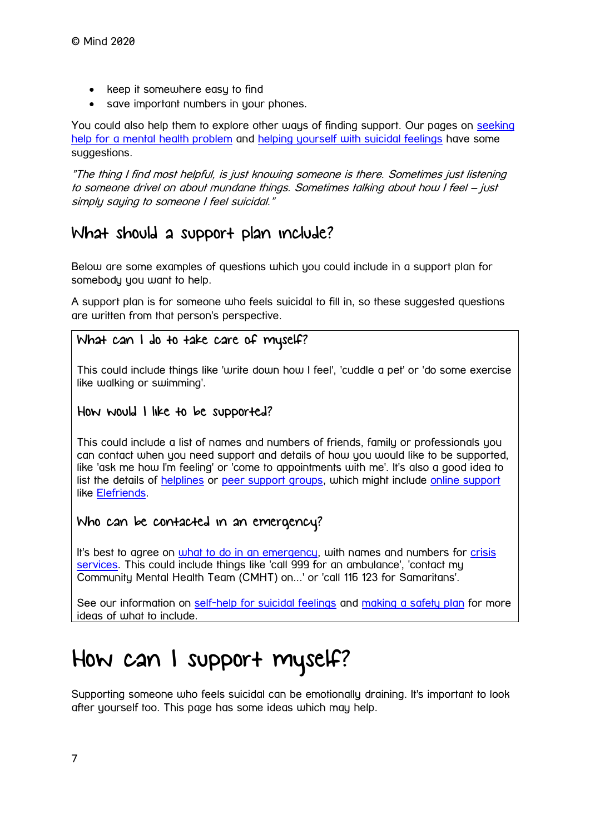- keep it somewhere easy to find
- save important numbers in your phones.

You could also help them to explore other ways of finding support. Our pages on seeking [help for a mental health problem](https://www.mind.org.uk/information-support/guides-to-support-and-services/seeking-help-for-a-mental-health-problem/) and [helping yourself with suicidal feelings](https://www.mind.org.uk/information-support/helping-someone-else/supporting-someone-who-feels-suicidal/supporting-yourself/) have some suggestions.

"The thing I find most helpful, is just knowing someone is there. Sometimes just listening to someone drivel on about mundane things. Sometimes talking about how I feel – just simply saying to someone I feel suicidal."

## What should a support plan include?

Below are some examples of questions which you could include in a support plan for somebody you want to help.

A support plan is for someone who feels suicidal to fill in, so these suggested questions are written from that person's perspective.

#### What can I do to take care of myself?

This could include things like 'write down how I feel', 'cuddle a pet' or 'do some exercise like walking or swimming'.

#### How would I like to be supported?

This could include a list of names and numbers of friends, family or professionals you can contact when you need support and details of how you would like to be supported, like 'ask me how I'm feeling' or 'come to appointments with me'. It's also a good idea to list the details of [helplines](https://www.mind.org.uk/information-support/guides-to-support-and-services/crisis-services/helplines-listening-services/) or [peer support groups,](https://www.mind.org.uk/information-support/peer-support-directory/) which might include [online support](https://www.mind.org.uk/information-support/tips-for-everyday-living/online-mental-health/) like [Elefriends.](https://www.mind.org.uk/information-support/elefriends-our-online-community/)

#### Who can be contacted in an emergency?

It's best to agree on [what to do in an emergency,](https://www.mind.org.uk/information-support/guides-to-support-and-services/crisis-services/accident-emergency-ae/) with names and numbers for crisis [services.](https://www.mind.org.uk/information-support/guides-to-support-and-services/crisis-services/accident-emergency-ae/) This could include things like 'call 999 for an ambulance', 'contact my Community Mental Health Team (CMHT) on...' or 'call 116 123 for Samaritans'.

See our information on [self-help for suicidal feelings](https://www.mind.org.uk/information-support/types-of-mental-health-problems/suicidal-feelings/helping-yourself-now/) and [making a safety plan](https://www.mind.org.uk/information-support/types-of-mental-health-problems/suicidal-feelings/helping-yourself-long-term/) for more ideas of what to include.

# <span id="page-6-0"></span>How can I support myself?

Supporting someone who feels suicidal can be emotionally draining. It's important to look after yourself too. This page has some ideas which may help.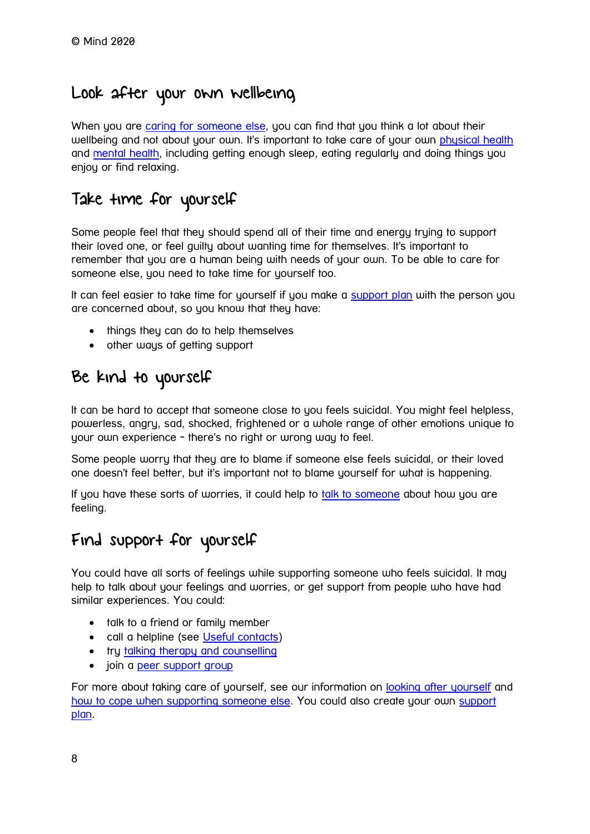## Look after your own wellbeing

When you are [caring for someone else,](https://www.mind.org.uk/information-support/helping-someone-else/carers-friends-family-coping-support/) you can find that you think a lot about their wellbeing and not about your own. It's important to take care of your own [physical health](https://www.mind.org.uk/information-support/tips-for-everyday-living/wellbeing/wellbeing/#LookAfterYourPhysicalHealth) and [mental health,](https://www.mind.org.uk/information-support/tips-for-everyday-living/wellbeing/wellbeing/#LookAfterYourMentalHealth) including getting enough sleep, eating regularly and doing things you enjoy or find relaxing.

## Take time for yourself

Some people feel that they should spend all of their time and energy trying to support their loved one, or feel guilty about wanting time for themselves. It's important to remember that you are a human being with needs of your own. To be able to care for someone else, you need to take time for yourself too.

It can feel easier to take time for yourself if you make a [support plan](https://www.mind.org.uk/information-support/helping-someone-else/supporting-someone-who-feels-suicidal/making-a-support-plan/) with the person you are concerned about, so you know that they have:

- things they can do to help themselves
- other ways of getting support

## Be kind to yourself

It can be hard to accept that someone close to you feels suicidal. You might feel helpless, powerless, angry, sad, shocked, frightened or a whole range of other emotions unique to your own experience - there's no right or wrong way to feel.

Some people worry that they are to blame if someone else feels suicidal, or their loved one doesn't feel better, but it's important not to blame yourself for what is happening.

If you have these sorts of worries, it could help to [talk to someone](https://www.mind.org.uk/information-support/helping-someone-else/supporting-someone-who-feels-suicidal/useful-contacts/) about how you are feeling.

## Find support for yourself

You could have all sorts of feelings while supporting someone who feels suicidal. It may help to talk about your feelings and worries, or get support from people who have had similar experiences. You could:

- talk to a friend or family member
- call a helpline (see [Useful contacts\)](https://www.mind.org.uk/information-support/helping-someone-else/supporting-someone-who-feels-suicidal/useful-contacts/)
- try [talking therapy and counselling](https://www.mind.org.uk/information-support/drugs-and-treatments/talking-therapy-and-counselling/)
- join a [peer support group](https://www.mind.org.uk/information-support/drugs-and-treatments/peer-support/)

For more about taking care of yourself, see our information on [looking after yourself](https://www.mind.org.uk/information-support/helping-someone-else/carers-friends-family-coping-support/looking-after-yourself/) and [how to cope when supporting someone else.](https://www.mind.org.uk/information-support/helping-someone-else/carers-friends-family-coping-support/) You could also create your own [support](https://www.mind.org.uk/information-support/helping-someone-else/supporting-someone-who-feels-suicidal/making-a-support-plan/)  [plan.](https://www.mind.org.uk/information-support/helping-someone-else/supporting-someone-who-feels-suicidal/making-a-support-plan/)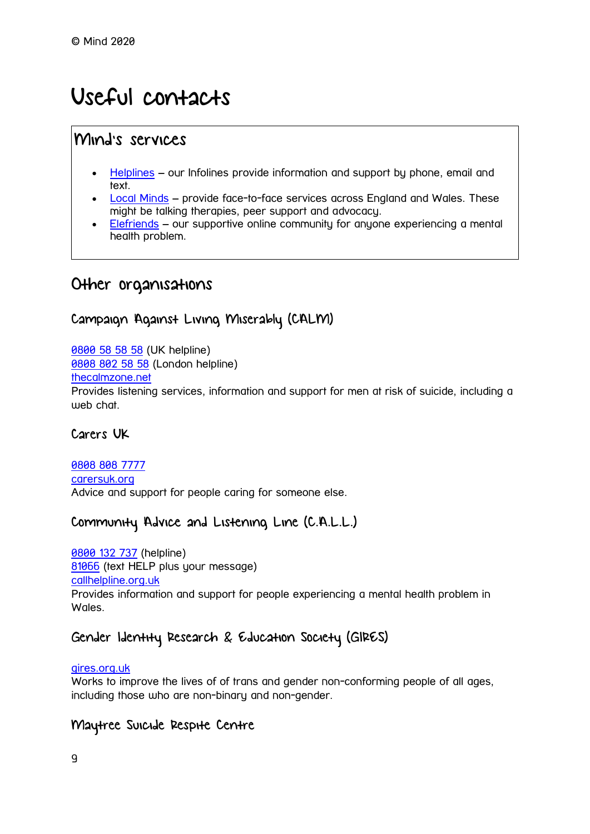## <span id="page-8-0"></span>Useful contacts

## Mind's services

- [Helplines](https://www.mind.org.uk/information-support/helplines/) our Infolines provide information and support by phone, email and text.
- [Local Minds](https://www.mind.org.uk/about-us/local-minds/) provide face-to-face services across England and Wales. These might be talking therapies, peer support and advocacy.
- [Elefriends](https://www.mind.org.uk/information-support/elefriends-our-online-community/) our supportive online community for anyone experiencing a mental health problem.

## Other organisations

#### Campaign Against Living Miserably (CALM)

**[0800 58 58 58](tel:+44-800-58-58-58) (UK helpline)** 

0808 [802 58 58](tel:+44-808-802-58-58) (London helpline)

[thecalmzone.net](https://www.thecalmzone.net/)

Provides listening services, information and support for men at risk of suicide, including a web chat.

#### Carers UK

[0808 808 7777](tel:+44-808-808-7777) [carersuk.org](https://www.carersuk.org/) Advice and support for people caring for someone else.

#### Community Advice and Listening Line (C.A.L.L.)

[0800 132 737](tel:+44-800-132-737) (helpline) [81066](sms:81066) (text HELP plus your message) [callhelpline.org.uk](http://www.callhelpline.org.uk/) Provides information and support for people experiencing a mental health problem in Wales.

### Gender Identity Research & Education Society (GIRES)

[gires.org.uk](https://www.gires.org.uk/)

Works to improve the lives of of trans and gender non-conforming people of all ages, including those who are non-binary and non-gender.

#### Maytree Suicide Respite Centre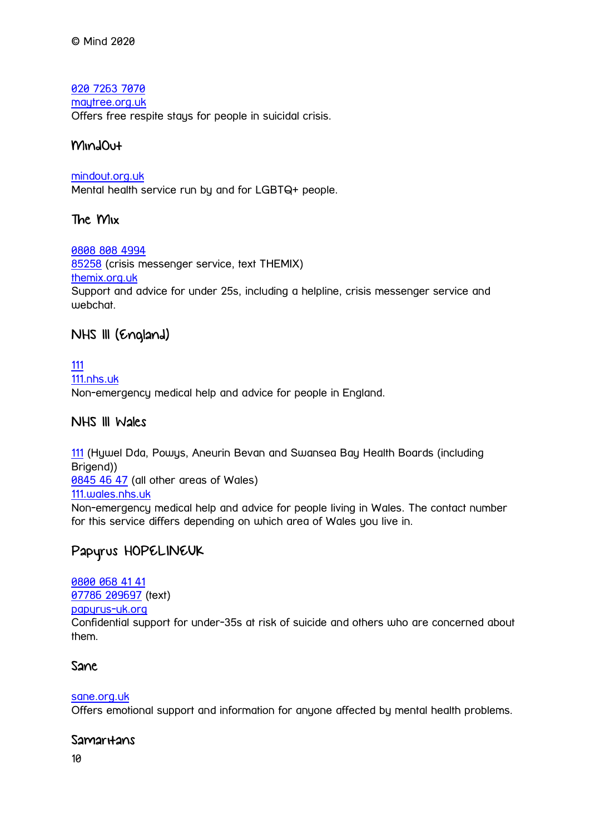#### [020 7263 7070](tel:+44-20-7263-7070)

#### [maytree.org.uk](https://www.maytree.org.uk/)

Offers free respite stays for people in suicidal crisis.

#### MindOut

#### [mindout.org.uk](https://www.mindout.org.uk/)

Mental health service run by and for LGBTQ+ people.

#### The Mix

#### [0808 808 4994](tel:+44-808-808-4994)

[85258](sms:+4485258) (crisis messenger service, text THEMIX) [themix.org.uk](https://www.themix.org.uk/) Support and advice for under 25s, including a helpline, crisis messenger service and webchat.

#### NHS 111 (England)

[111](tel:+44-111) [111.nhs.uk](https://111.nhs.uk/) Non-emergency medical help and advice for people in England.

#### NHS 111 Wales

[111](tel:+44-111) (Hywel Dda, Powys, Aneurin Bevan and Swansea Bay Health Boards (including Brigend)) [0845 46 47](tel:+44-845-46-47) (all other areas of Wales) [111.wales.nhs.uk](https://111.wales.nhs.uk/contactus/) Non-emergency medical help and advice for people living in Wales. The contact number for this service differs depending on which area of Wales you live in.

### Papyrus HOPELINEUK

[0800 068 41 41](tel:+44-800-068-41-41) [07786 209697](sms:+44-7786-209697) (text) [papyrus-uk.org](https://www.papyrus-uk.org/) Confidential support for under-35s at risk of suicide and others who are concerned about them.

#### Sane

#### [sane.org.uk](http://www.sane.org.uk/)

Offers emotional support and information for anyone affected by mental health problems.

#### Samar<sub>Hans</sub>